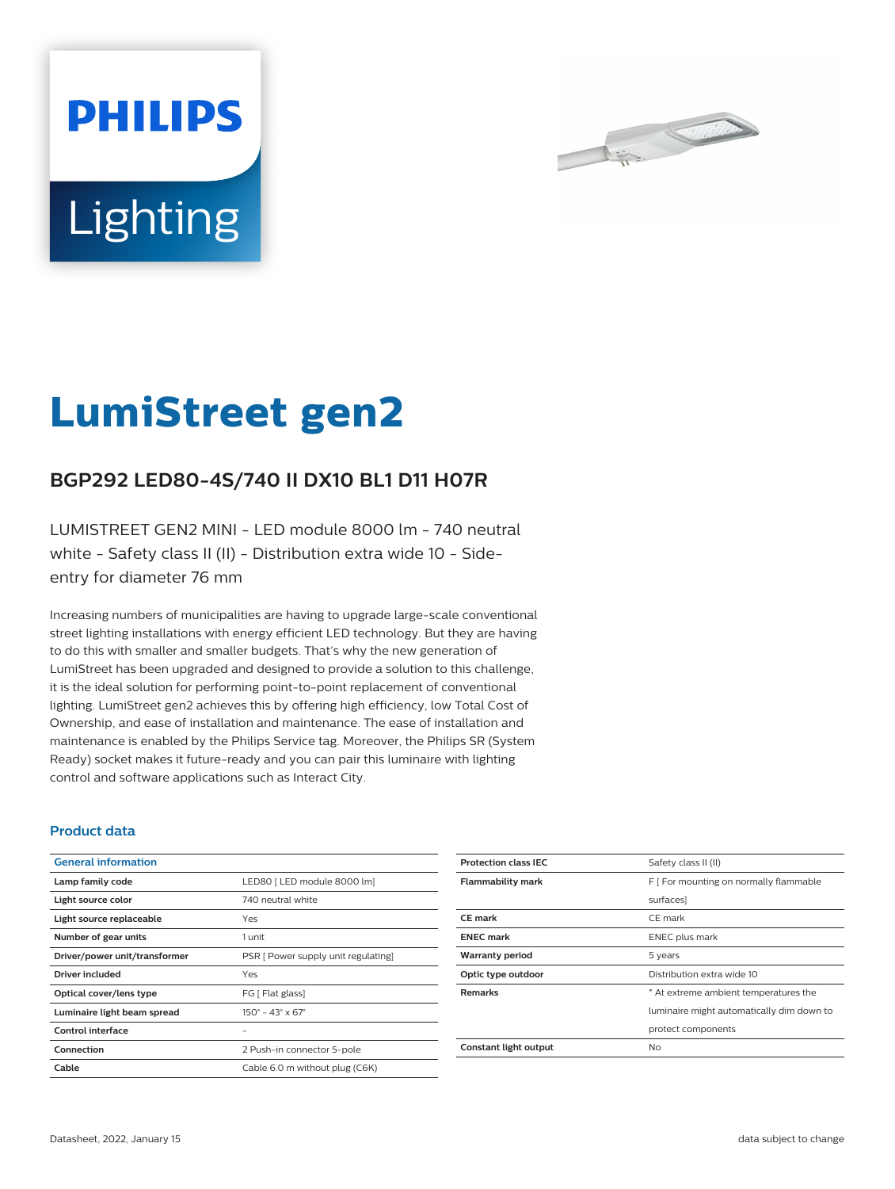



# **LumiStreet gen2**

## **BGP292 LED80-4S/740 II DX10 BL1 D11 H07R**

LUMISTREET GEN2 MINI - LED module 8000 lm - 740 neutral white - Safety class II (II) - Distribution extra wide 10 - Sideentry for diameter 76 mm

Increasing numbers of municipalities are having to upgrade large-scale conventional street lighting installations with energy efficient LED technology. But they are having to do this with smaller and smaller budgets. That's why the new generation of LumiStreet has been upgraded and designed to provide a solution to this challenge, it is the ideal solution for performing point-to-point replacement of conventional lighting. LumiStreet gen2 achieves this by offering high efficiency, low Total Cost of Ownership, and ease of installation and maintenance. The ease of installation and maintenance is enabled by the Philips Service tag. Moreover, the Philips SR (System Ready) socket makes it future-ready and you can pair this luminaire with lighting control and software applications such as Interact City.

#### **Product data**

| <b>General information</b>    |                                              |
|-------------------------------|----------------------------------------------|
| Lamp family code              | LED80   LED module 8000 lm]                  |
| Light source color            | 740 neutral white                            |
| Light source replaceable      | Yes                                          |
| Number of gear units          | 1 unit                                       |
| Driver/power unit/transformer | PSR [ Power supply unit regulating]          |
| Driver included               | Yes                                          |
| Optical cover/lens type       | FG [ Flat glass]                             |
| Luminaire light beam spread   | $150^{\circ} - 43^{\circ} \times 67^{\circ}$ |
| Control interface             |                                              |
| Connection                    | 2 Push-in connector 5-pole                   |
| Cable                         | Cable 6.0 m without plug (C6K)               |

| <b>Protection class IEC</b> | Safety class II (II)                      |
|-----------------------------|-------------------------------------------|
| <b>Flammability mark</b>    | F [ For mounting on normally flammable    |
|                             | surfaces]                                 |
| <b>CE</b> mark              | CE mark                                   |
| <b>ENEC mark</b>            | <b>ENEC</b> plus mark                     |
| <b>Warranty period</b>      | 5 years                                   |
| Optic type outdoor          | Distribution extra wide 10                |
| <b>Remarks</b>              | * At extreme ambient temperatures the     |
|                             | luminaire might automatically dim down to |
|                             | protect components                        |
| Constant light output       | No                                        |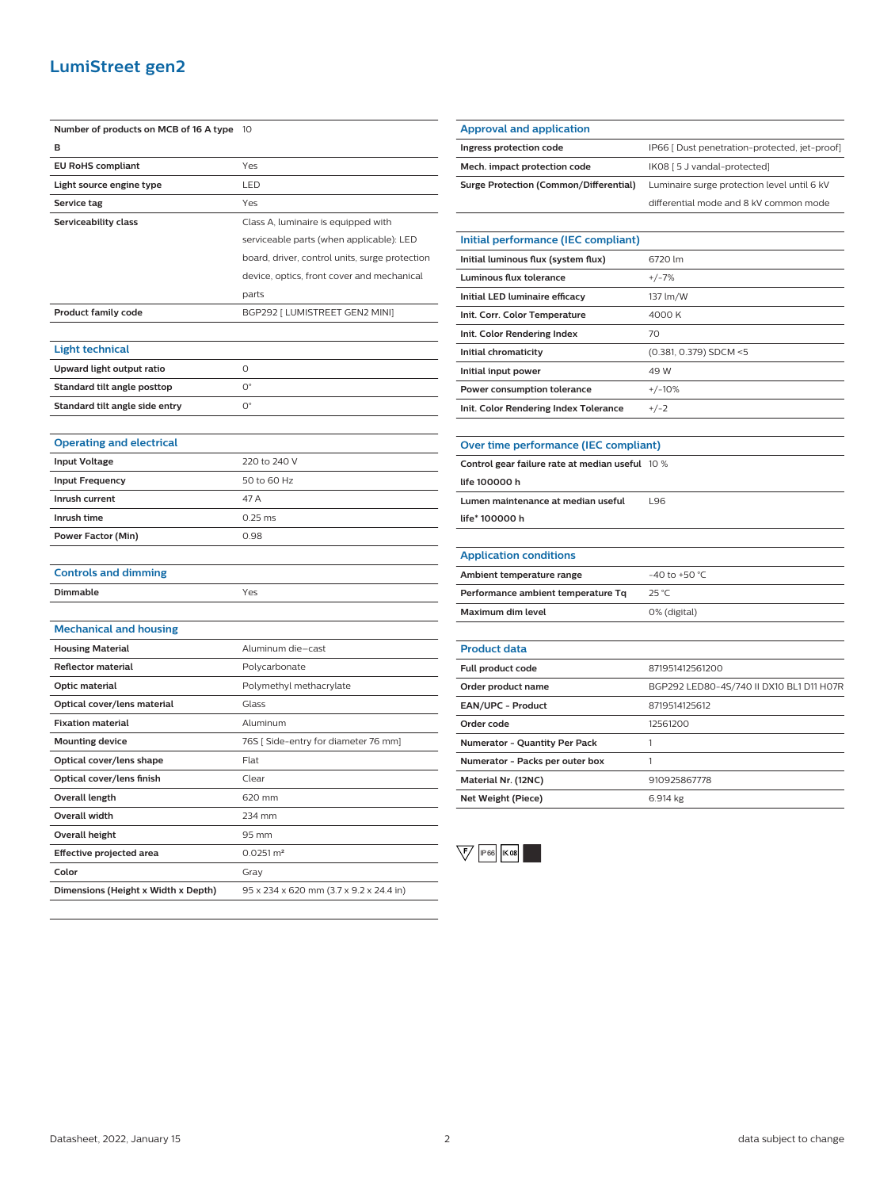### **LumiStreet gen2**

| Number of products on MCB of 16 A type | 10                                             |
|----------------------------------------|------------------------------------------------|
| B                                      |                                                |
| <b>EU RoHS compliant</b>               | Yes                                            |
| Light source engine type               | LED                                            |
| Service tag                            | Yes                                            |
| Serviceability class                   | Class A, luminaire is equipped with            |
|                                        | serviceable parts (when applicable): LED       |
|                                        | board, driver, control units, surge protection |
|                                        | device, optics, front cover and mechanical     |
|                                        | parts                                          |
| <b>Product family code</b>             | BGP292 [ LUMISTREET GEN2 MINI]                 |
|                                        |                                                |
| Light technical                        |                                                |
| Upward light output ratio              | 0                                              |
| Standard tilt angle posttop            | $O^{\circ}$                                    |
| Standard tilt angle side entry         | 0°                                             |
|                                        |                                                |
| <b>Operating and electrical</b>        |                                                |
| <b>Input Voltage</b>                   | 220 to 240 V                                   |
| <b>Input Frequency</b>                 | 50 to 60 Hz                                    |
| Inrush current                         | 47 A                                           |
| Inrush time                            | $0.25$ ms                                      |
| <b>Power Factor (Min)</b>              | 0.98                                           |
|                                        |                                                |
| <b>Controls and dimming</b>            |                                                |
| <b>Dimmable</b>                        | Yes                                            |
|                                        |                                                |
| <b>Mechanical and housing</b>          |                                                |
| <b>Housing Material</b>                | Aluminum die–cast                              |
| <b>Reflector material</b>              | Polycarbonate                                  |
| Optic material                         | Polymethyl methacrylate                        |
| Optical cover/lens material            | Glass                                          |
| <b>Fixation material</b>               | Aluminum                                       |
| <b>Mounting device</b>                 | 76S [ Side-entry for diameter 76 mm]           |
| Optical cover/lens shape               | Flat                                           |
| Optical cover/lens finish              | Clear                                          |
| <b>Overall length</b>                  | 620 mm                                         |
| Overall width                          | 234 mm                                         |
| <b>Overall height</b>                  | 95 mm                                          |
| Effective projected area               | $0.0251 \, \text{m}^2$                         |
| Color                                  | Gray                                           |
| Dimensions (Height x Width x Depth)    | 95 x 234 x 620 mm (3.7 x 9.2 x 24.4 in)        |

| <b>Approval and application</b>               |                                               |
|-----------------------------------------------|-----------------------------------------------|
| Ingress protection code                       | IP66 [ Dust penetration-protected, jet-proof] |
| Mech. impact protection code                  | IK08 [5 J vandal-protected]                   |
| <b>Surge Protection (Common/Differential)</b> | Luminaire surge protection level until 6 kV   |
|                                               | differential mode and 8 kV common mode        |
|                                               |                                               |
| Initial performance (IEC compliant)           |                                               |
| Initial luminous flux (system flux)           | 6720 lm                                       |
| Luminous flux tolerance                       | $+/-7%$                                       |
| Initial LED luminaire efficacy                | 137 lm/W                                      |

| Init. Corr. Color Temperature         | 4000 K                 |
|---------------------------------------|------------------------|
| Init. Color Rendering Index           | 70                     |
| Initial chromaticity                  | (0.381, 0.379) SDCM <5 |
| Initial input power                   | 49 W                   |
| Power consumption tolerance           | $+/-10%$               |
| Init. Color Rendering Index Tolerance | $+/-2$                 |

| Over time performance (IEC compliant) |  |
|---------------------------------------|--|
|                                       |  |

| <b>Control gear failure rate at median useful</b> 10 % |     |
|--------------------------------------------------------|-----|
| life 100000 h                                          |     |
| Lumen maintenance at median useful                     | 196 |
| life* 100000 h                                         |     |
|                                                        |     |

| <b>Application conditions</b>      |                    |
|------------------------------------|--------------------|
| Ambient temperature range          | $-40$ to $+50$ °C. |
| Performance ambient temperature To | 25 °C              |
| Maximum dim level                  | 0% (digital)       |

| <b>Product data</b>                  |                                          |
|--------------------------------------|------------------------------------------|
| <b>Full product code</b>             | 871951412561200                          |
| Order product name                   | BGP292 LED80-4S/740 II DX10 BL1 D11 H07R |
| EAN/UPC - Product                    | 8719514125612                            |
| Order code                           | 12561200                                 |
| <b>Numerator - Quantity Per Pack</b> |                                          |
| Numerator - Packs per outer box      |                                          |
| Material Nr. (12NC)                  | 910925867778                             |
| Net Weight (Piece)                   | 6.914 kg                                 |